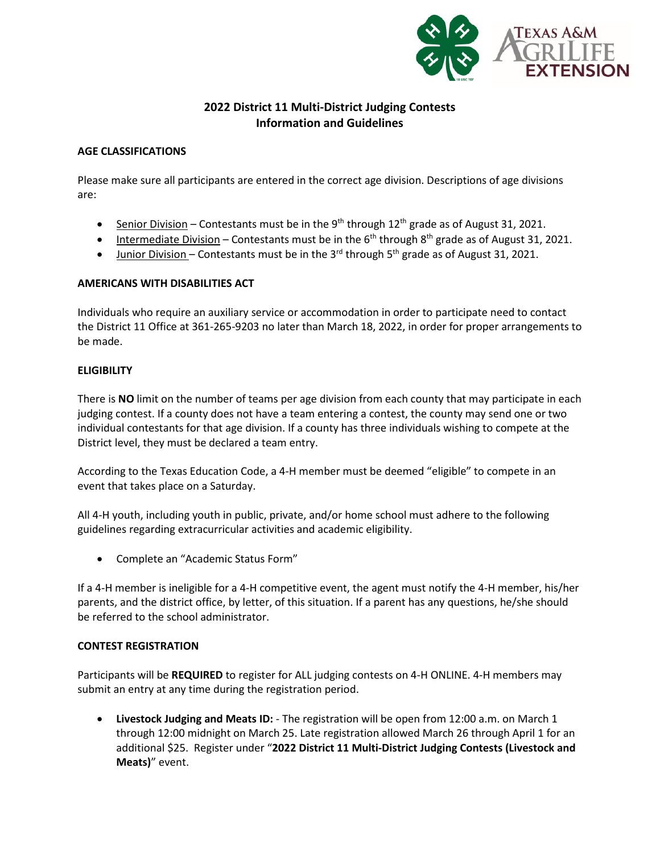

# **2022 District 11 Multi-District Judging Contests Information and Guidelines**

# **AGE CLASSIFICATIONS**

Please make sure all participants are entered in the correct age division. Descriptions of age divisions are:

- Senior Division Contestants must be in the 9<sup>th</sup> through  $12<sup>th</sup>$  grade as of August 31, 2021.
- Intermediate Division Contestants must be in the  $6<sup>th</sup>$  through  $8<sup>th</sup>$  grade as of August 31, 2021.
- Junior Division Contestants must be in the 3<sup>rd</sup> through 5<sup>th</sup> grade as of August 31, 2021.

# **AMERICANS WITH DISABILITIES ACT**

Individuals who require an auxiliary service or accommodation in order to participate need to contact the District 11 Office at 361-265-9203 no later than March 18, 2022, in order for proper arrangements to be made.

#### **ELIGIBILITY**

There is **NO** limit on the number of teams per age division from each county that may participate in each judging contest. If a county does not have a team entering a contest, the county may send one or two individual contestants for that age division. If a county has three individuals wishing to compete at the District level, they must be declared a team entry.

According to the Texas Education Code, a 4-H member must be deemed "eligible" to compete in an event that takes place on a Saturday.

All 4-H youth, including youth in public, private, and/or home school must adhere to the following guidelines regarding extracurricular activities and academic eligibility.

• Complete an "Academic Status Form"

If a 4-H member is ineligible for a 4-H competitive event, the agent must notify the 4-H member, his/her parents, and the district office, by letter, of this situation. If a parent has any questions, he/she should be referred to the school administrator.

# **CONTEST REGISTRATION**

Participants will be **REQUIRED** to register for ALL judging contests on 4-H ONLINE. 4-H members may submit an entry at any time during the registration period.

• **Livestock Judging and Meats ID:** - The registration will be open from 12:00 a.m. on March 1 through 12:00 midnight on March 25. Late registration allowed March 26 through April 1 for an additional \$25. Register under "**2022 District 11 Multi-District Judging Contests (Livestock and Meats)**" event.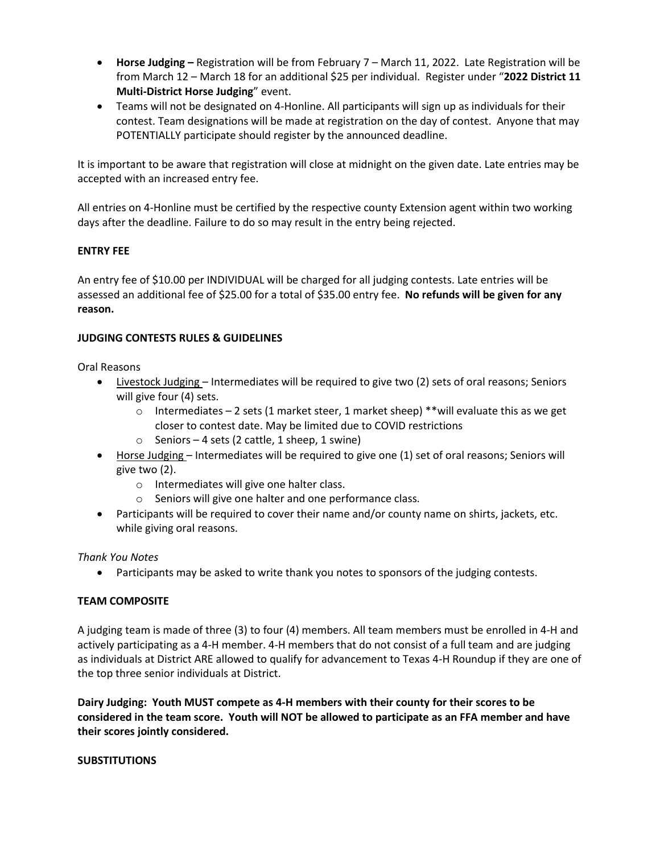- **Horse Judging –** Registration will be from February 7 March 11, 2022. Late Registration will be from March 12 – March 18 for an additional \$25 per individual. Register under "**2022 District 11 Multi-District Horse Judging**" event.
- Teams will not be designated on 4-Honline. All participants will sign up as individuals for their contest. Team designations will be made at registration on the day of contest. Anyone that may POTENTIALLY participate should register by the announced deadline.

It is important to be aware that registration will close at midnight on the given date. Late entries may be accepted with an increased entry fee.

All entries on 4-Honline must be certified by the respective county Extension agent within two working days after the deadline. Failure to do so may result in the entry being rejected.

# **ENTRY FEE**

An entry fee of \$10.00 per INDIVIDUAL will be charged for all judging contests. Late entries will be assessed an additional fee of \$25.00 for a total of \$35.00 entry fee. **No refunds will be given for any reason.**

# **JUDGING CONTESTS RULES & GUIDELINES**

Oral Reasons

- Livestock Judging Intermediates will be required to give two (2) sets of oral reasons; Seniors will give four (4) sets.
	- $\circ$  Intermediates 2 sets (1 market steer, 1 market sheep) \*\* will evaluate this as we get closer to contest date. May be limited due to COVID restrictions
	- $\circ$  Seniors 4 sets (2 cattle, 1 sheep, 1 swine)
- Horse Judging Intermediates will be required to give one (1) set of oral reasons; Seniors will give two (2).
	- o Intermediates will give one halter class.
	- o Seniors will give one halter and one performance class.
- Participants will be required to cover their name and/or county name on shirts, jackets, etc. while giving oral reasons.

*Thank You Notes*

• Participants may be asked to write thank you notes to sponsors of the judging contests.

# **TEAM COMPOSITE**

A judging team is made of three (3) to four (4) members. All team members must be enrolled in 4-H and actively participating as a 4-H member. 4-H members that do not consist of a full team and are judging as individuals at District ARE allowed to qualify for advancement to Texas 4-H Roundup if they are one of the top three senior individuals at District.

**Dairy Judging: Youth MUST compete as 4-H members with their county for their scores to be considered in the team score. Youth will NOT be allowed to participate as an FFA member and have their scores jointly considered.** 

# **SUBSTITUTIONS**